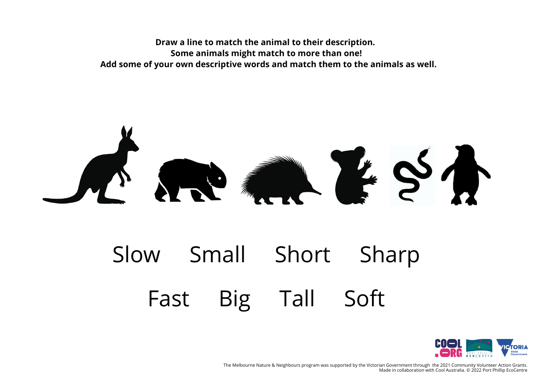## $S$

## Slow Small Short Sharp Fast Big Tall Soft



The Melbourne Nature & Neighbours program was supported by the Victorian Government through the 2021 Community Volunteer Action Grants. Made in collaboration with Cool Australia. © 2022 Port Phillip EcoCentre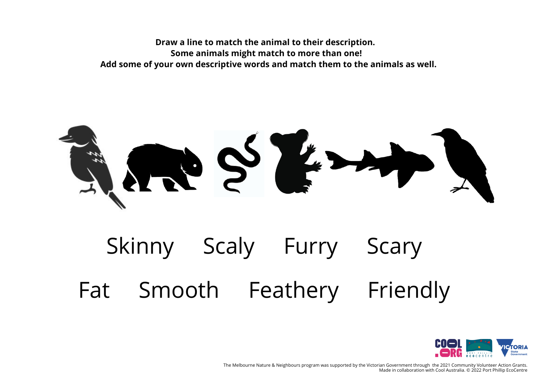THE STE

## Skinny Scaly Furry Scary Fat Smooth Feathery Friendly



The Melbourne Nature & Neighbours program was supported by the Victorian Government through the 2021 Community Volunteer Action Grants. Made in collaboration with Cool Australia. © 2022 Port Phillip EcoCentre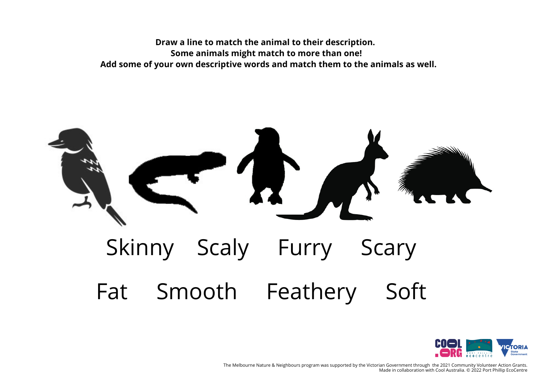



The Melbourne Nature & Neighbours program was supported by the Victorian Government through the 2021 Community Volunteer Action Grants. Made in collaboration with Cool Australia. © 2022 Port Phillip EcoCentre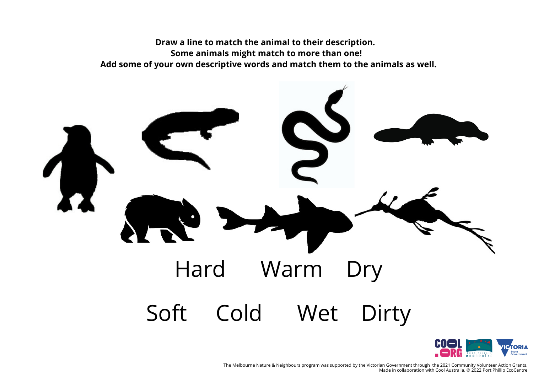